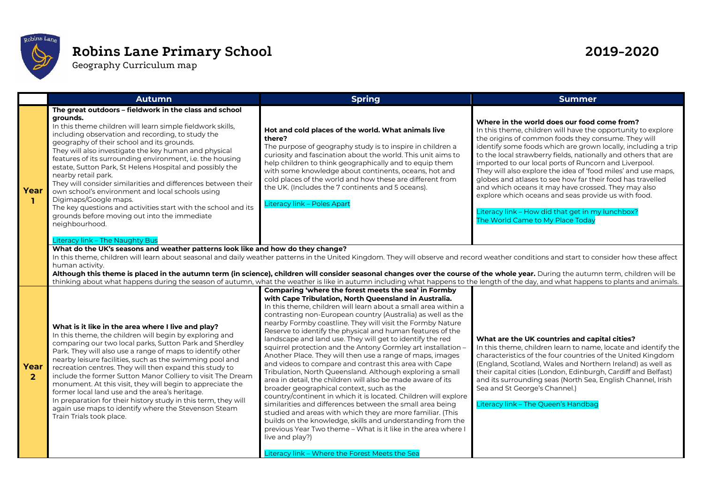

## **Robins Lane Primary School 2019-2020**

Geography Curriculum map

|                        | <b>Autumn</b>                                                                                                                                                                                                                                                                                                                                                                                                                                                                                                                                                                                                                                                                                                                  | <b>Spring</b>                                                                                                                                                                                                                                                                                                                                                                                                                                                                                                                                                                                                                                                                                                                                                                                                                                                                                                                                                                                                                                                                                                                                                                                              | <b>Summer</b>                                                                                                                                                                                                                                                                                                                                                                                                                                                                                                                                                                                                                                                                                       |
|------------------------|--------------------------------------------------------------------------------------------------------------------------------------------------------------------------------------------------------------------------------------------------------------------------------------------------------------------------------------------------------------------------------------------------------------------------------------------------------------------------------------------------------------------------------------------------------------------------------------------------------------------------------------------------------------------------------------------------------------------------------|------------------------------------------------------------------------------------------------------------------------------------------------------------------------------------------------------------------------------------------------------------------------------------------------------------------------------------------------------------------------------------------------------------------------------------------------------------------------------------------------------------------------------------------------------------------------------------------------------------------------------------------------------------------------------------------------------------------------------------------------------------------------------------------------------------------------------------------------------------------------------------------------------------------------------------------------------------------------------------------------------------------------------------------------------------------------------------------------------------------------------------------------------------------------------------------------------------|-----------------------------------------------------------------------------------------------------------------------------------------------------------------------------------------------------------------------------------------------------------------------------------------------------------------------------------------------------------------------------------------------------------------------------------------------------------------------------------------------------------------------------------------------------------------------------------------------------------------------------------------------------------------------------------------------------|
| Year<br>п.             | The great outdoors - fieldwork in the class and school<br>grounds.<br>In this theme children will learn simple fieldwork skills,<br>including observation and recording, to study the<br>geography of their school and its grounds.<br>They will also investigate the key human and physical<br>features of its surrounding environment, i.e. the housing<br>estate, Sutton Park, St Helens Hospital and possibly the<br>nearby retail park.<br>They will consider similarities and differences between their<br>own school's environment and local schools using<br>Digimaps/Google maps.<br>The key questions and activities start with the school and its<br>grounds before moving out into the immediate<br>neighbourhood. | Hot and cold places of the world. What animals live<br>there?<br>The purpose of geography study is to inspire in children a<br>curiosity and fascination about the world. This unit aims to<br>help children to think geographically and to equip them<br>with some knowledge about continents, oceans, hot and<br>cold places of the world and how these are different from<br>the UK. (Includes the 7 continents and 5 oceans).<br>Literacy link - Poles Apart                                                                                                                                                                                                                                                                                                                                                                                                                                                                                                                                                                                                                                                                                                                                           | Where in the world does our food come from?<br>In this theme, children will have the opportunity to explore<br>the origins of common foods they consume. They will<br>identify some foods which are grown locally, including a trip<br>to the local strawberry fields, nationally and others that are<br>imported to our local ports of Runcorn and Liverpool.<br>They will also explore the idea of 'food miles' and use maps,<br>globes and atlases to see how far their food has travelled<br>and which oceans it may have crossed. They may also<br>explore which oceans and seas provide us with food.<br>Literacy link - How did that get in my lunchbox?<br>The World Came to My Place Today |
|                        | Literacy link - The Naughty Bus<br>What do the UK's seasons and weather patterns look like and how do they change?<br>In this theme, children will learn about seasonal and daily weather patterns in the United Kingdom. They will observe and record weather conditions and start to consider how these affect<br>human activity.<br>Although this theme is placed in the autumn term (in science), children will consider seasonal changes over the course of the whole year. During the autumn term, children will be<br>thinking about what happens during the season of autumn, what the weather is like in autumn including what happens to the length of the day, and what happens to plants and animals.              |                                                                                                                                                                                                                                                                                                                                                                                                                                                                                                                                                                                                                                                                                                                                                                                                                                                                                                                                                                                                                                                                                                                                                                                                            |                                                                                                                                                                                                                                                                                                                                                                                                                                                                                                                                                                                                                                                                                                     |
| Year<br>$\overline{2}$ | What is it like in the area where I live and play?<br>In this theme, the children will begin by exploring and<br>comparing our two local parks, Sutton Park and Sherdley<br>Park. They will also use a range of maps to identify other<br>nearby leisure facilities, such as the swimming pool and<br>recreation centres. They will then expand this study to<br>include the former Sutton Manor Colliery to visit The Dream<br>monument. At this visit, they will begin to appreciate the<br>former local land use and the area's heritage.<br>In preparation for their history study in this term, they will<br>again use maps to identify where the Stevenson Steam<br>Train Trials took place.                             | Comparing 'where the forest meets the sea' in Formby<br>with Cape Tribulation, North Queensland in Australia.<br>In this theme, children will learn about a small area within a<br>contrasting non-European country (Australia) as well as the<br>nearby Formby coastline. They will visit the Formby Nature<br>Reserve to identify the physical and human features of the<br>landscape and land use. They will get to identify the red<br>squirrel protection and the Antony Gormley art installation -<br>Another Place. They will then use a range of maps, images<br>and videos to compare and contrast this area with Cape<br>Tribulation, North Queensland. Although exploring a small<br>area in detail, the children will also be made aware of its<br>broader geographical context, such as the<br>country/continent in which it is located. Children will explore<br>similarities and differences between the small area being<br>studied and areas with which they are more familiar. (This<br>builds on the knowledge, skills and understanding from the<br>previous Year Two theme – What is it like in the area where I<br>live and play?)<br>Literacy link - Where the Forest Meets the Sea | What are the UK countries and capital cities?<br>In this theme, children learn to name, locate and identify the<br>characteristics of the four countries of the United Kingdom<br>(England, Scotland, Wales and Northern Ireland) as well as<br>their capital cities (London, Edinburgh, Cardiff and Belfast)<br>and its surrounding seas (North Sea, English Channel, Irish<br>Sea and St George's Channel.)<br>Literacy link - The Queen's Handbag                                                                                                                                                                                                                                                |